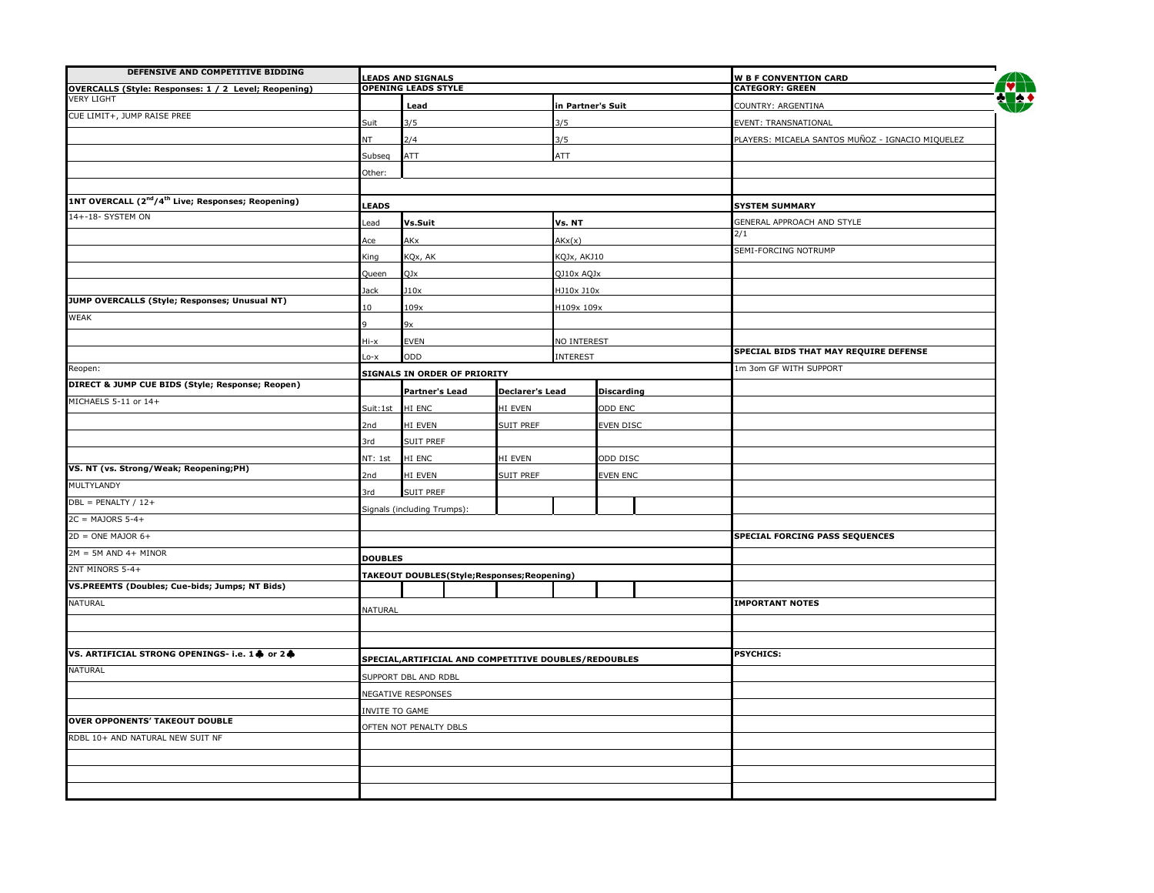| DEFENSIVE AND COMPETITIVE BIDDING                                          |                  |                                                        |                        |                                                  |                        |                                                        |  |
|----------------------------------------------------------------------------|------------------|--------------------------------------------------------|------------------------|--------------------------------------------------|------------------------|--------------------------------------------------------|--|
| OVERCALLS (Style: Responses: 1 / 2 Level; Reopening)                       |                  | <b>LEADS AND SIGNALS</b><br><b>OPENING LEADS STYLE</b> |                        |                                                  |                        | <b>W B F CONVENTION CARD</b><br><b>CATEGORY: GREEN</b> |  |
| <b>VERY LIGHT</b>                                                          |                  | Lead                                                   |                        | in Partner's Suit                                |                        | COUNTRY: ARGENTINA                                     |  |
| CUE LIMIT+, JUMP RAISE PREE                                                | Suit             | 3/5                                                    |                        | 3/5                                              |                        | EVENT: TRANSNATIONAL                                   |  |
|                                                                            | 2/4<br>NT<br>3/5 |                                                        |                        | PLAYERS: MICAELA SANTOS MUÑOZ - IGNACIO MIQUELEZ |                        |                                                        |  |
|                                                                            | Subseq           | ATT                                                    |                        | ATT                                              |                        |                                                        |  |
|                                                                            | Other:           |                                                        |                        |                                                  |                        |                                                        |  |
|                                                                            |                  |                                                        |                        |                                                  |                        |                                                        |  |
| 1NT OVERCALL (2 <sup>nd</sup> /4 <sup>th</sup> Live; Responses; Reopening) | <b>LEADS</b>     |                                                        |                        |                                                  |                        | <b>SYSTEM SUMMARY</b>                                  |  |
| 14+-18- SYSTEM ON                                                          | ead              | Vs.Suit                                                |                        | Vs. NT                                           |                        | GENERAL APPROACH AND STYLE                             |  |
|                                                                            | Ace              | AKx                                                    |                        | AKx(x)                                           |                        | $\frac{2}{1}$                                          |  |
|                                                                            |                  | KQx, AK<br>King<br>KQJx, AKJ10<br>QJx<br>QJ10x AQJx    |                        |                                                  |                        | SEMI-FORCING NOTRUMP                                   |  |
|                                                                            | Queen            |                                                        |                        |                                                  |                        |                                                        |  |
|                                                                            | Jack             | 110x                                                   |                        | HJ10x J10x                                       |                        |                                                        |  |
| JUMP OVERCALLS (Style; Responses; Unusual NT)                              | $\overline{0}$   | 109x                                                   |                        | 1109x 109x                                       |                        |                                                        |  |
| WEAK                                                                       |                  |                                                        |                        |                                                  |                        |                                                        |  |
|                                                                            | Hi-x             | 9x<br><b>EVEN</b>                                      |                        | NO INTEREST                                      |                        |                                                        |  |
|                                                                            | $0 - x$          |                                                        |                        | <b>INTEREST</b>                                  |                        | SPECIAL BIDS THAT MAY REQUIRE DEFENSE                  |  |
| Reopen:                                                                    |                  |                                                        | ODD                    |                                                  |                        | 1m 3om GF WITH SUPPORT                                 |  |
| DIRECT & JUMP CUE BIDS (Style; Response; Reopen)                           |                  | <b>SIGNALS IN ORDER OF PRIORITY</b>                    |                        |                                                  |                        |                                                        |  |
| MICHAELS 5-11 or 14+                                                       |                  | <b>Partner's Lead</b>                                  | <b>Declarer's Lead</b> |                                                  | <b>Discarding</b>      |                                                        |  |
|                                                                            | Suit:1st HI ENC  |                                                        | HI EVEN                |                                                  | ODD ENC                |                                                        |  |
|                                                                            | 2nd              | HI EVEN                                                | SUIT PREF              |                                                  | EVEN DISC              |                                                        |  |
|                                                                            | 3rd              | <b>SUIT PREF</b>                                       |                        |                                                  |                        |                                                        |  |
| VS. NT (vs. Strong/Weak; Reopening;PH)                                     | NT: 1st          | HI ENC                                                 | HI EVEN                |                                                  | ODD DISC               |                                                        |  |
| MULTYLANDY                                                                 | 2nd              | HI EVEN<br><b>SUIT PREF</b>                            |                        |                                                  | EVEN ENC               |                                                        |  |
| $DBL = PENALTY / 12 +$                                                     | 3rd              | SUIT PREF                                              |                        |                                                  |                        |                                                        |  |
| $2C = MAJORS 5-4+$                                                         |                  | Signals (including Trumps):                            |                        |                                                  |                        |                                                        |  |
| $2D = ONE MAJOR 6+$                                                        |                  |                                                        |                        |                                                  |                        | SPECIAL FORCING PASS SEQUENCES                         |  |
| $2M = 5M$ AND 4+ MINOR                                                     |                  |                                                        |                        |                                                  |                        |                                                        |  |
| 2NT MINORS 5-4+                                                            | <b>DOUBLES</b>   |                                                        |                        |                                                  |                        |                                                        |  |
| VS.PREEMTS (Doubles; Cue-bids; Jumps; NT Bids)                             |                  | TAKEOUT DOUBLES(Style;Responses;Reopening)             |                        |                                                  |                        |                                                        |  |
|                                                                            |                  |                                                        |                        |                                                  |                        |                                                        |  |
| <b>NATURAL</b>                                                             | NATURAL          |                                                        |                        |                                                  | <b>IMPORTANT NOTES</b> |                                                        |  |
|                                                                            |                  |                                                        |                        |                                                  |                        |                                                        |  |
|                                                                            |                  |                                                        |                        |                                                  |                        |                                                        |  |
| VS. ARTIFICIAL STRONG OPENINGS- i.e. 1 + or 2 +                            |                  | SPECIAL, ARTIFICIAL AND COMPETITIVE DOUBLES/REDOUBLES  |                        |                                                  |                        | <b>PSYCHICS:</b>                                       |  |
| <b>NATURAL</b>                                                             |                  | SUPPORT DBL AND RDBL                                   |                        |                                                  |                        |                                                        |  |
|                                                                            |                  | <b>NEGATIVE RESPONSES</b>                              |                        |                                                  |                        |                                                        |  |
|                                                                            | INVITE TO GAME   |                                                        |                        |                                                  |                        |                                                        |  |
| <b>OVER OPPONENTS' TAKEOUT DOUBLE</b>                                      |                  | OFTEN NOT PENALTY DBLS                                 |                        |                                                  |                        |                                                        |  |
| RDBL 10+ AND NATURAL NEW SUIT NF                                           |                  |                                                        |                        |                                                  |                        |                                                        |  |
|                                                                            |                  |                                                        |                        |                                                  |                        |                                                        |  |
|                                                                            |                  |                                                        |                        |                                                  |                        |                                                        |  |
|                                                                            |                  |                                                        |                        |                                                  |                        |                                                        |  |